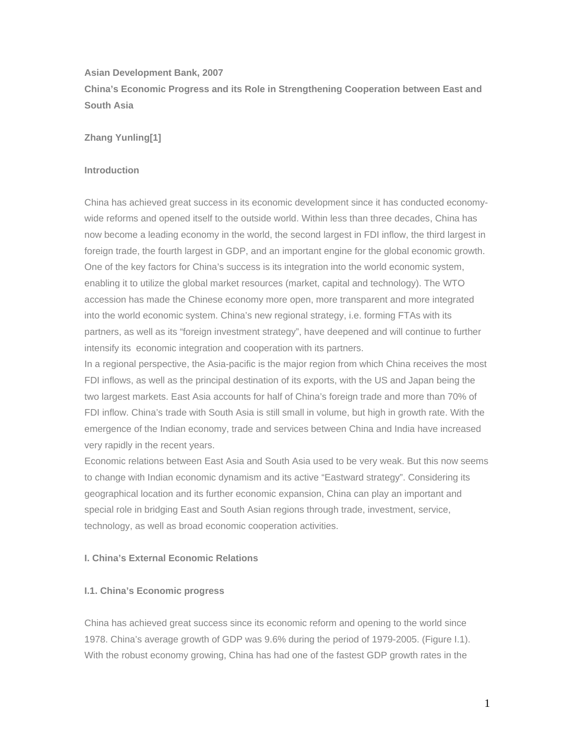# **Asian Development Bank, 2007 China's Economic Progress and its Role in Strengthening Cooperation between East and South Asia**

## **Zhang Yunling[1]**

## **Introduction**

China has achieved great success in its economic development since it has conducted economywide reforms and opened itself to the outside world. Within less than three decades, China has now become a leading economy in the world, the second largest in FDI inflow, the third largest in foreign trade, the fourth largest in GDP, and an important engine for the global economic growth. One of the key factors for China's success is its integration into the world economic system, enabling it to utilize the global market resources (market, capital and technology). The WTO accession has made the Chinese economy more open, more transparent and more integrated into the world economic system. China's new regional strategy, i.e. forming FTAs with its partners, as well as its "foreign investment strategy", have deepened and will continue to further intensify its economic integration and cooperation with its partners.

In a regional perspective, the Asia-pacific is the major region from which China receives the most FDI inflows, as well as the principal destination of its exports, with the US and Japan being the two largest markets. East Asia accounts for half of China's foreign trade and more than 70% of FDI inflow. China's trade with South Asia is still small in volume, but high in growth rate. With the emergence of the Indian economy, trade and services between China and India have increased very rapidly in the recent years.

Economic relations between East Asia and South Asia used to be very weak. But this now seems to change with Indian economic dynamism and its active "Eastward strategy". Considering its geographical location and its further economic expansion, China can play an important and special role in bridging East and South Asian regions through trade, investment, service, technology, as well as broad economic cooperation activities.

### **I. China's External Economic Relations**

#### **I.1. China's Economic progress**

China has achieved great success since its economic reform and opening to the world since 1978. China's average growth of GDP was 9.6% during the period of 1979-2005. (Figure I.1). With the robust economy growing, China has had one of the fastest GDP growth rates in the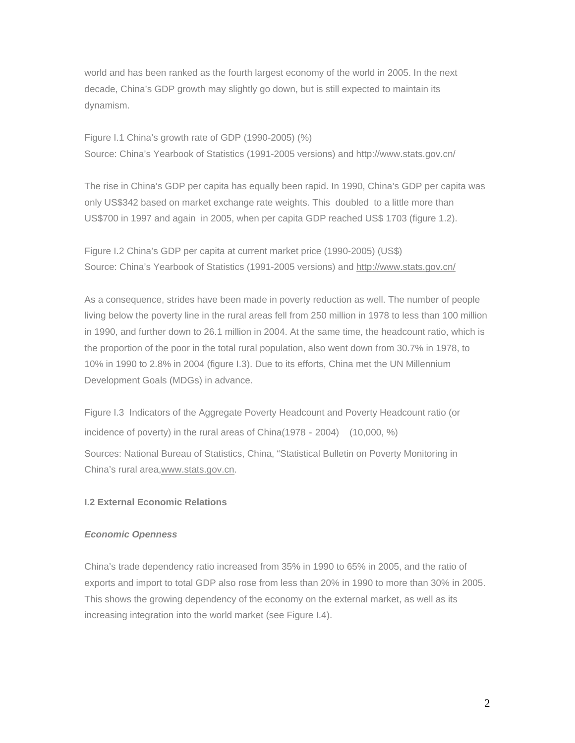world and has been ranked as the fourth largest economy of the world in 2005. In the next decade, China's GDP growth may slightly go down, but is still expected to maintain its dynamism.

Figure I.1 China's growth rate of GDP (1990-2005) (%) Source: China's Yearbook of Statistics (1991-2005 versions) and http://www.stats.gov.cn/

The rise in China's GDP per capita has equally been rapid. In 1990, China's GDP per capita was only US\$342 based on market exchange rate weights. This doubled to a little more than US\$700 in 1997 and again in 2005, when per capita GDP reached US\$ 1703 (figure 1.2).

Figure I.2 China's GDP per capita at current market price (1990-2005) (US\$) Source: China's Yearbook of Statistics (1991-2005 versions) and <http://www.stats.gov.cn/>

As a consequence, strides have been made in poverty reduction as well. The number of people living below the poverty line in the rural areas fell from 250 million in 1978 to less than 100 million in 1990, and further down to 26.1 million in 2004. At the same time, the headcount ratio, which is the proportion of the poor in the total rural population, also went down from 30.7% in 1978, to 10% in 1990 to 2.8% in 2004 (figure I.3). Due to its efforts, China met the UN Millennium Development Goals (MDGs) in advance.

Figure I.3 Indicators of the Aggregate Poverty Headcount and Poverty Headcount ratio (or incidence of poverty) in the rural areas of China(1978-2004) (10,000, %) Sources: National Bureau of Statistics, China, "Statistical Bulletin on Poverty Monitoring in China's rural area,[www.stats.gov.cn.](http://www.statis.gov.cn/)

## **I.2 External Economic Relations**

## *Economic Openness*

China's trade dependency ratio increased from 35% in 1990 to 65% in 2005, and the ratio of exports and import to total GDP also rose from less than 20% in 1990 to more than 30% in 2005. This shows the growing dependency of the economy on the external market, as well as its increasing integration into the world market (see Figure I.4).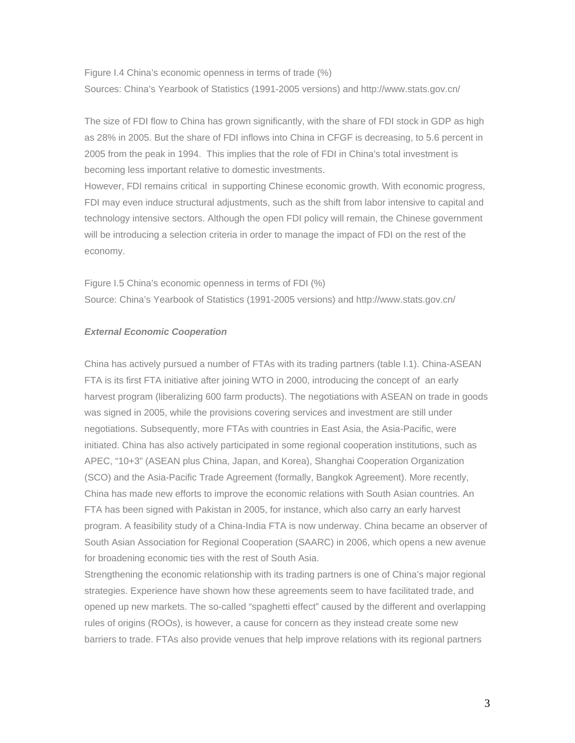Figure I.4 China's economic openness in terms of trade (%) Sources: China's Yearbook of Statistics (1991-2005 versions) and http://www.stats.gov.cn/

The size of FDI flow to China has grown significantly, with the share of FDI stock in GDP as high as 28% in 2005. But the share of FDI inflows into China in CFGF is decreasing, to 5.6 percent in 2005 from the peak in 1994. This implies that the role of FDI in China's total investment is becoming less important relative to domestic investments.

However, FDI remains critical in supporting Chinese economic growth. With economic progress, FDI may even induce structural adjustments, such as the shift from labor intensive to capital and technology intensive sectors. Although the open FDI policy will remain, the Chinese government will be introducing a selection criteria in order to manage the impact of FDI on the rest of the economy.

Figure I.5 China's economic openness in terms of FDI (%) Source: China's Yearbook of Statistics (1991-2005 versions) and http://www.stats.gov.cn/

#### *External Economic Cooperation*

China has actively pursued a number of FTAs with its trading partners (table I.1). China-ASEAN FTA is its first FTA initiative after joining WTO in 2000, introducing the concept of an early harvest program (liberalizing 600 farm products). The negotiations with ASEAN on trade in goods was signed in 2005, while the provisions covering services and investment are still under negotiations. Subsequently, more FTAs with countries in East Asia, the Asia-Pacific, were initiated. China has also actively participated in some regional cooperation institutions, such as APEC, "10+3" (ASEAN plus China, Japan, and Korea), Shanghai Cooperation Organization (SCO) and the Asia-Pacific Trade Agreement (formally, Bangkok Agreement). More recently, China has made new efforts to improve the economic relations with South Asian countries. An FTA has been signed with Pakistan in 2005, for instance, which also carry an early harvest program. A feasibility study of a China-India FTA is now underway. China became an observer of South Asian Association for Regional Cooperation (SAARC) in 2006, which opens a new avenue for broadening economic ties with the rest of South Asia.

Strengthening the economic relationship with its trading partners is one of China's major regional strategies. Experience have shown how these agreements seem to have facilitated trade, and opened up new markets. The so-called "spaghetti effect" caused by the different and overlapping rules of origins (ROOs), is however, a cause for concern as they instead create some new barriers to trade. FTAs also provide venues that help improve relations with its regional partners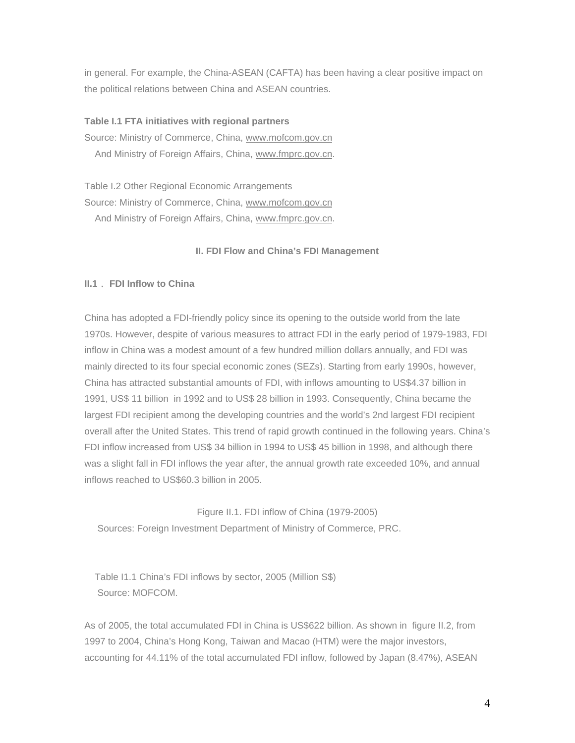in general. For example, the China-ASEAN (CAFTA) has been having a clear positive impact on the political relations between China and ASEAN countries.

## **Table I.1 FTA initiatives with regional partners**

Source: Ministry of Commerce, China, [www.mofcom.gov.cn](http://www.mofcom.gov.cn/) And Ministry of Foreign Affairs, China, [www.fmprc.gov.cn.](http://www.fmprc.gov.cn/)

Table I.2 Other Regional Economic Arrangements Source: Ministry of Commerce, China, [www.mofcom.gov.cn](http://www.mofcom.gov.cn/) And Ministry of Foreign Affairs, China, [www.fmprc.gov.cn.](http://www.fmprc.gov.cn/)

## **II. FDI Flow and China's FDI Management**

## **II.1**. **FDI Inflow to China**

China has adopted a FDI-friendly policy since its opening to the outside world from the late 1970s. However, despite of various measures to attract FDI in the early period of 1979-1983, FDI inflow in China was a modest amount of a few hundred million dollars annually, and FDI was mainly directed to its four special economic zones (SEZs). Starting from early 1990s, however, China has attracted substantial amounts of FDI, with inflows amounting to US\$4.37 billion in 1991, US\$ 11 billion in 1992 and to US\$ 28 billion in 1993. Consequently, China became the largest FDI recipient among the developing countries and the world's 2nd largest FDI recipient overall after the United States. This trend of rapid growth continued in the following years. China's FDI inflow increased from US\$ 34 billion in 1994 to US\$ 45 billion in 1998, and although there was a slight fall in FDI inflows the year after, the annual growth rate exceeded 10%, and annual inflows reached to US\$60.3 billion in 2005.

Figure II.1. FDI inflow of China (1979-2005) Sources: Foreign Investment Department of Ministry of Commerce, PRC.

 Table I1.1 China's FDI inflows by sector, 2005 (Million S\$) Source: MOFCOM.

As of 2005, the total accumulated FDI in China is US\$622 billion. As shown in figure II.2, from 1997 to 2004, China's Hong Kong, Taiwan and Macao (HTM) were the major investors, accounting for 44.11% of the total accumulated FDI inflow, followed by Japan (8.47%), ASEAN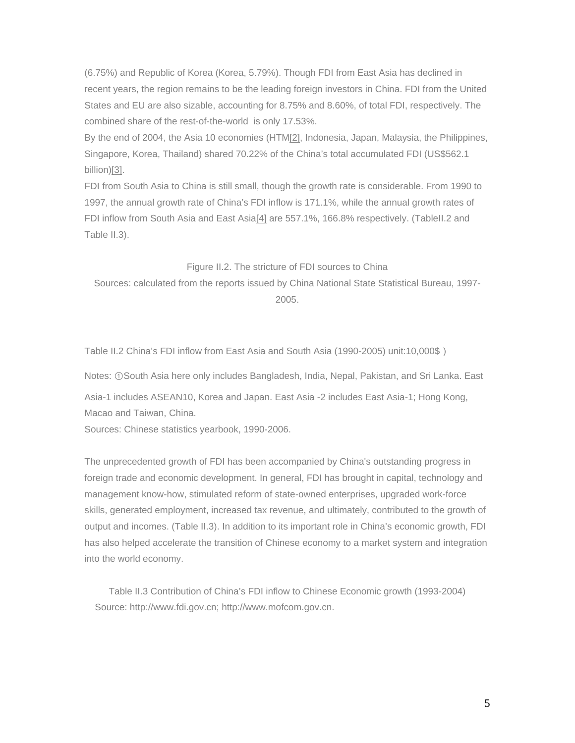(6.75%) and Republic of Korea (Korea, 5.79%). Though FDI from East Asia has declined in recent years, the region remains to be the leading foreign investors in China. FDI from the United States and EU are also sizable, accounting for 8.75% and 8.60%, of total FDI, respectively. The combined share of the rest-of-the-world is only 17.53%.

By the end of 2004, the Asia 10 economies (HT[M\[2\],](http://iaps.cass.cn/english/Articles/showcontent.asp?id=1126#_ftn2#_ftn2) Indonesia, Japan, Malaysia, the Philippines, Singapore, Korea, Thailand) shared 70.22% of the China's total accumulated FDI (US\$562.1 billion)[\[3\]](http://iaps.cass.cn/english/Articles/showcontent.asp?id=1126#_ftn3#_ftn3).

FDI from South Asia to China is still small, though the growth rate is considerable. From 1990 to 1997, the annual growth rate of China's FDI inflow is 171.1%, while the annual growth rates of FDI inflow from South Asia and East Asia[\[4\]](http://iaps.cass.cn/english/Articles/showcontent.asp?id=1126#_ftn4#_ftn4) are 557.1%, 166.8% respectively. (TableII.2 and Table II.3).

#### Figure II.2. The stricture of FDI sources to China

Sources: calculated from the reports issued by China National State Statistical Bureau, 1997- 2005.

Table II.2 China's FDI inflow from East Asia and South Asia (1990-2005) unit:10,000\$)

Notes: ①South Asia here only includes Bangladesh, India, Nepal, Pakistan, and Sri Lanka. East

Asia-1 includes ASEAN10, Korea and Japan. East Asia -2 includes East Asia-1; Hong Kong, Macao and Taiwan, China.

Sources: Chinese statistics yearbook, 1990-2006.

The unprecedented growth of FDI has been accompanied by China's outstanding progress in foreign trade and economic development. In general, FDI has brought in capital, technology and management know-how, stimulated reform of state-owned enterprises, upgraded work-force skills, generated employment, increased tax revenue, and ultimately, contributed to the growth of output and incomes. (Table II.3). In addition to its important role in China's economic growth, FDI has also helped accelerate the transition of Chinese economy to a market system and integration into the world economy.

Table II.3 Contribution of China's FDI inflow to Chinese Economic growth (1993-2004) Source: http://www.fdi.gov.cn; http://www.mofcom.gov.cn.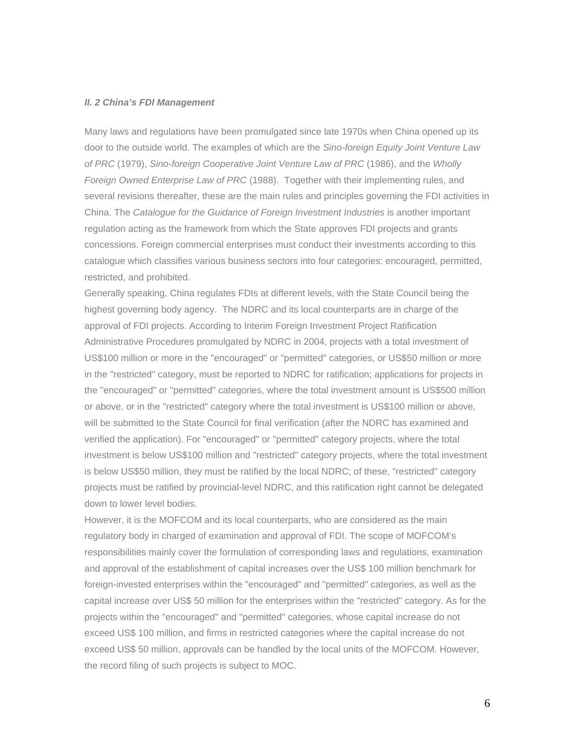#### *II. 2 China's FDI Management*

Many laws and regulations have been promulgated since late 1970s when China opened up its door to the outside world. The examples of which are the *Sino-foreign Equity Joint Venture Law of PRC* (1979), *Sino-foreign Cooperative Joint Venture Law of PRC* (1986), and the *Wholly Foreign Owned Enterprise Law of PRC* (1988). Together with their implementing rules, and several revisions thereafter, these are the main rules and principles governing the FDI activities in China. The *Catalogue for the Guidance of Foreign Investment Industries* is another important regulation acting as the framework from which the State approves FDI projects and grants concessions. Foreign commercial enterprises must conduct their investments according to this catalogue which classifies various business sectors into four categories: encouraged, permitted, restricted, and prohibited.

Generally speaking, China regulates FDIs at different levels, with the State Council being the highest governing body agency. The NDRC and its local counterparts are in charge of the approval of FDI projects. According to Interim Foreign Investment Project Ratification Administrative Procedures promulgated by NDRC in 2004, projects with a total investment of US\$100 million or more in the "encouraged" or "permitted" categories, or US\$50 million or more in the "restricted" category, must be reported to NDRC for ratification; applications for projects in the "encouraged" or "permitted" categories, where the total investment amount is US\$500 million or above, or in the "restricted" category where the total investment is US\$100 million or above, will be submitted to the State Council for final verification (after the NDRC has examined and verified the application). For "encouraged" or "permitted" category projects, where the total investment is below US\$100 million and "restricted" category projects, where the total investment is below US\$50 million, they must be ratified by the local NDRC; of these, "restricted" category projects must be ratified by provincial-level NDRC, and this ratification right cannot be delegated down to lower level bodies.

However, it is the MOFCOM and its local counterparts, who are considered as the main regulatory body in charged of examination and approval of FDI. The scope of MOFCOM's responsibilities mainly cover the formulation of corresponding laws and regulations, examination and approval of the establishment of capital increases over the US\$ 100 million benchmark for foreign-invested enterprises within the "encouraged" and "permitted" categories, as well as the capital increase over US\$ 50 million for the enterprises within the "restricted" category. As for the projects within the "encouraged" and "permitted" categories, whose capital increase do not exceed US\$ 100 million, and firms in restricted categories where the capital increase do not exceed US\$ 50 million, approvals can be handled by the local units of the MOFCOM. However, the record filing of such projects is subject to MOC.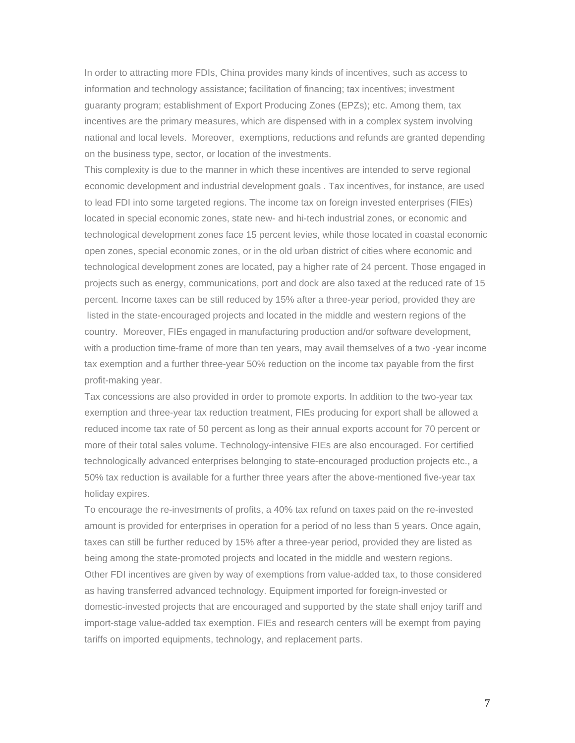In order to attracting more FDIs, China provides many kinds of incentives, such as access to information and technology assistance; facilitation of financing; tax incentives; investment guaranty program; establishment of Export Producing Zones (EPZs); etc. Among them, tax incentives are the primary measures, which are dispensed with in a complex system involving national and local levels. Moreover, exemptions, reductions and refunds are granted depending on the business type, sector, or location of the investments.

This complexity is due to the manner in which these incentives are intended to serve regional economic development and industrial development goals . Tax incentives, for instance, are used to lead FDI into some targeted regions. The income tax on foreign invested enterprises (FIEs) located in special economic zones, state new- and hi-tech industrial zones, or economic and technological development zones face 15 percent levies, while those located in coastal economic open zones, special economic zones, or in the old urban district of cities where economic and technological development zones are located, pay a higher rate of 24 percent. Those engaged in projects such as energy, communications, port and dock are also taxed at the reduced rate of 15 percent. Income taxes can be still reduced by 15% after a three-year period, provided they are listed in the state-encouraged projects and located in the middle and western regions of the country. Moreover, FIEs engaged in manufacturing production and/or software development, with a production time-frame of more than ten years, may avail themselves of a two -year income tax exemption and a further three-year 50% reduction on the income tax payable from the first profit-making year.

Tax concessions are also provided in order to promote exports. In addition to the two-year tax exemption and three-year tax reduction treatment, FIEs producing for export shall be allowed a reduced income tax rate of 50 percent as long as their annual exports account for 70 percent or more of their total sales volume. Technology-intensive FIEs are also encouraged. For certified technologically advanced enterprises belonging to state-encouraged production projects etc., a 50% tax reduction is available for a further three years after the above-mentioned five-year tax holiday expires.

To encourage the re-investments of profits, a 40% tax refund on taxes paid on the re-invested amount is provided for enterprises in operation for a period of no less than 5 years. Once again, taxes can still be further reduced by 15% after a three-year period, provided they are listed as being among the state-promoted projects and located in the middle and western regions. Other FDI incentives are given by way of exemptions from value-added tax, to those considered as having transferred advanced technology. Equipment imported for foreign-invested or domestic-invested projects that are encouraged and supported by the state shall enjoy tariff and import-stage value-added tax exemption. FIEs and research centers will be exempt from paying tariffs on imported equipments, technology, and replacement parts.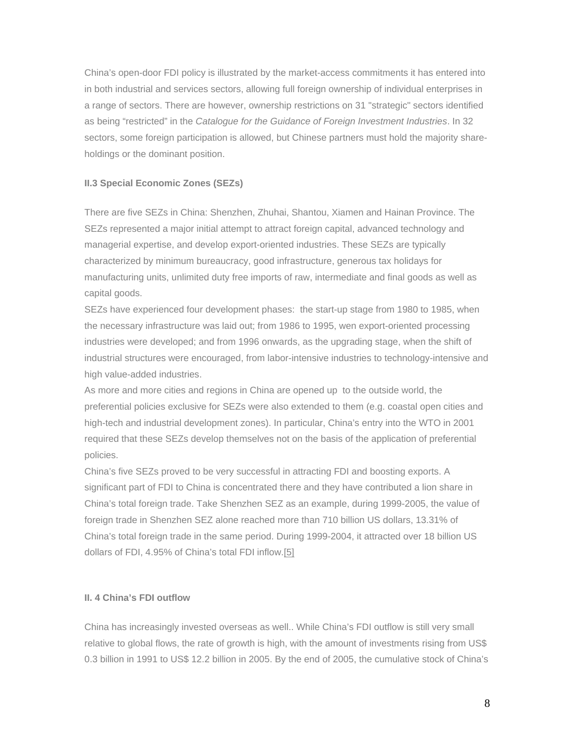China's open-door FDI policy is illustrated by the market-access commitments it has entered into in both industrial and services sectors, allowing full foreign ownership of individual enterprises in a range of sectors. There are however, ownership restrictions on 31 "strategic" sectors identified as being "restricted" in the *Catalogue for the Guidance of Foreign Investment Industries*. In 32 sectors, some foreign participation is allowed, but Chinese partners must hold the majority shareholdings or the dominant position.

## **II.3 Special Economic Zones (SEZs)**

There are five SEZs in China: Shenzhen, Zhuhai, Shantou, Xiamen and Hainan Province. The SEZs represented a major initial attempt to attract foreign capital, advanced technology and managerial expertise, and develop export-oriented industries. These SEZs are typically characterized by minimum bureaucracy, good infrastructure, generous tax holidays for manufacturing units, unlimited duty free imports of raw, intermediate and final goods as well as capital goods.

SEZs have experienced four development phases: the start-up stage from 1980 to 1985, when the necessary infrastructure was laid out; from 1986 to 1995, wen export-oriented processing industries were developed; and from 1996 onwards, as the upgrading stage, when the shift of industrial structures were encouraged, from labor-intensive industries to technology-intensive and high value-added industries.

As more and more cities and regions in China are opened up to the outside world, the preferential policies exclusive for SEZs were also extended to them (e.g. coastal open cities and high-tech and industrial development zones). In particular, China's entry into the WTO in 2001 required that these SEZs develop themselves not on the basis of the application of preferential policies.

China's five SEZs proved to be very successful in attracting FDI and boosting exports. A significant part of FDI to China is concentrated there and they have contributed a lion share in China's total foreign trade. Take Shenzhen SEZ as an example, during 1999-2005, the value of foreign trade in Shenzhen SEZ alone reached more than 710 billion US dollars, 13.31% of China's total foreign trade in the same period. During 1999-2004, it attracted over 18 billion US dollars of FDI, 4.95% of China's total FDI inflow[.\[5\]](http://iaps.cass.cn/english/Articles/showcontent.asp?id=1126#_ftn5#_ftn5)

## **II. 4 China's FDI outflow**

China has increasingly invested overseas as well.. While China's FDI outflow is still very small relative to global flows, the rate of growth is high, with the amount of investments rising from US\$ 0.3 billion in 1991 to US\$ 12.2 billion in 2005. By the end of 2005, the cumulative stock of China's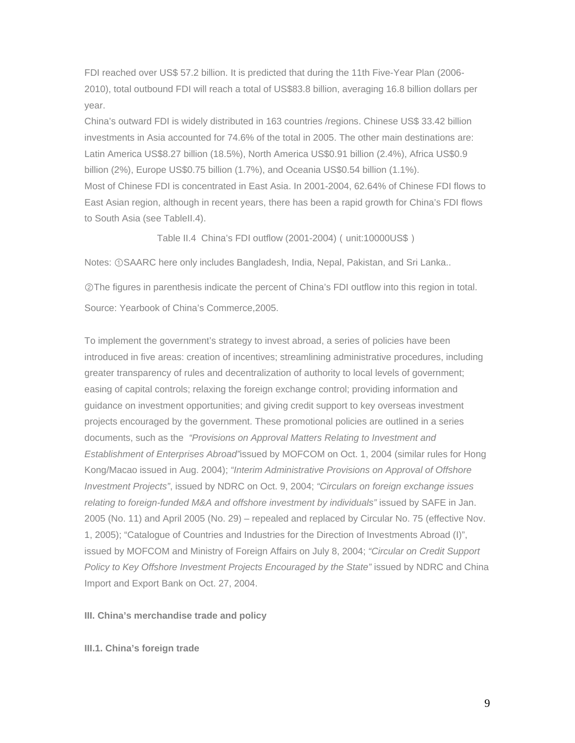FDI reached over US\$ 57.2 billion. It is predicted that during the 11th Five-Year Plan (2006- 2010), total outbound FDI will reach a total of US\$83.8 billion, averaging 16.8 billion dollars per year.

China's outward FDI is widely distributed in 163 countries /regions. Chinese US\$ 33.42 billion investments in Asia accounted for 74.6% of the total in 2005. The other main destinations are: Latin America US\$8.27 billion (18.5%), North America US\$0.91 billion (2.4%), Africa US\$0.9 billion (2%), Europe US\$0.75 billion (1.7%), and Oceania US\$0.54 billion (1.1%). Most of Chinese FDI is concentrated in East Asia. In 2001-2004, 62.64% of Chinese FDI flows to East Asian region, although in recent years, there has been a rapid growth for China's FDI flows to South Asia (see Tablell.4).

Table II.4 China's FDI outflow (2001-2004) (unit:10000US\$)

Notes: ①SAARC here only includes Bangladesh, India, Nepal, Pakistan, and Sri Lanka..

②The figures in parenthesis indicate the percent of China's FDI outflow into this region in total. Source: Yearbook of China's Commerce,2005.

To implement the government's strategy to invest abroad, a series of policies have been introduced in five areas: creation of incentives; streamlining administrative procedures, including greater transparency of rules and decentralization of authority to local levels of government; easing of capital controls; relaxing the foreign exchange control; providing information and guidance on investment opportunities; and giving credit support to key overseas investment projects encouraged by the government. These promotional policies are outlined in a series documents, such as the *"Provisions on Approval Matters Relating to Investment and Establishment of Enterprises Abroad"*issued by MOFCOM on Oct. 1, 2004 (similar rules for Hong Kong/Macao issued in Aug. 2004); *"Interim Administrative Provisions on Approval of Offshore Investment Projects"*, issued by NDRC on Oct. 9, 2004; *"Circulars on foreign exchange issues relating to foreign-funded M&A and offshore investment by individuals"* issued by SAFE in Jan. 2005 (No. 11) and April 2005 (No. 29) – repealed and replaced by Circular No. 75 (effective Nov. 1, 2005); "Catalogue of Countries and Industries for the Direction of Investments Abroad (I)", issued by MOFCOM and Ministry of Foreign Affairs on July 8, 2004; *"Circular on Credit Support Policy to Key Offshore Investment Projects Encouraged by the State"* issued by NDRC and China Import and Export Bank on Oct. 27, 2004.

### **III. China's merchandise trade and policy**

**III.1. China's foreign trade**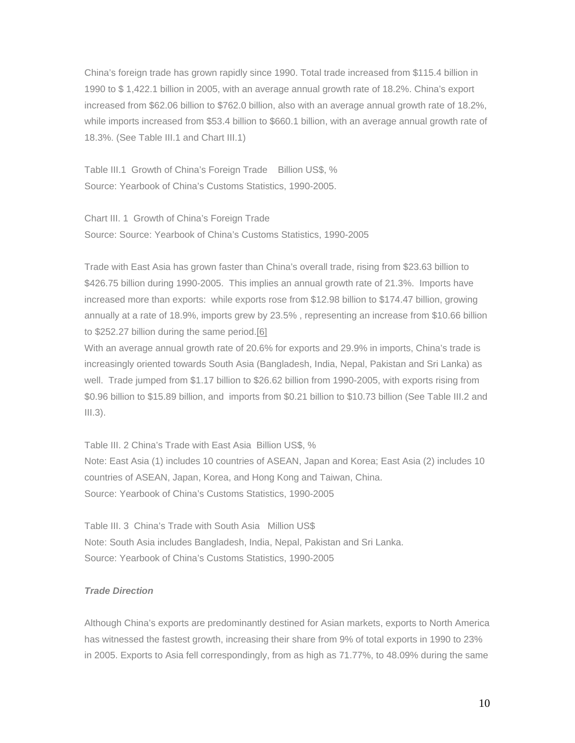China's foreign trade has grown rapidly since 1990. Total trade increased from \$115.4 billion in 1990 to \$ 1,422.1 billion in 2005, with an average annual growth rate of 18.2%. China's export increased from \$62.06 billion to \$762.0 billion, also with an average annual growth rate of 18.2%, while imports increased from \$53.4 billion to \$660.1 billion, with an average annual growth rate of 18.3%. (See Table III.1 and Chart III.1)

Table III.1 Growth of China's Foreign Trade Billion US\$, % Source: Yearbook of China's Customs Statistics, 1990-2005.

Chart III. 1 Growth of China's Foreign Trade Source: Source: Yearbook of China's Customs Statistics, 1990-2005

Trade with East Asia has grown faster than China's overall trade, rising from \$23.63 billion to \$426.75 billion during 1990-2005. This implies an annual growth rate of 21.3%. Imports have increased more than exports: while exports rose from \$12.98 billion to \$174.47 billion, growing annually at a rate of 18.9%, imports grew by 23.5% , representing an increase from \$10.66 billion to \$252.27 billion during the same period[.\[6\]](http://iaps.cass.cn/english/Articles/showcontent.asp?id=1126#_ftn6#_ftn6)

With an average annual growth rate of 20.6% for exports and 29.9% in imports, China's trade is increasingly oriented towards South Asia (Bangladesh, India, Nepal, Pakistan and Sri Lanka) as well. Trade jumped from \$1.17 billion to \$26.62 billion from 1990-2005, with exports rising from \$0.96 billion to \$15.89 billion, and imports from \$0.21 billion to \$10.73 billion (See Table III.2 and  $III.3$ ).

Table III. 2 China's Trade with East Asia Billion US\$, % Note: East Asia (1) includes 10 countries of ASEAN, Japan and Korea; East Asia (2) includes 10 countries of ASEAN, Japan, Korea, and Hong Kong and Taiwan, China. Source: Yearbook of China's Customs Statistics, 1990-2005

Table III. 3 China's Trade with South Asia Million US\$ Note: South Asia includes Bangladesh, India, Nepal, Pakistan and Sri Lanka. Source: Yearbook of China's Customs Statistics, 1990-2005

## *Trade Direction*

Although China's exports are predominantly destined for Asian markets, exports to North America has witnessed the fastest growth, increasing their share from 9% of total exports in 1990 to 23% in 2005. Exports to Asia fell correspondingly, from as high as 71.77%, to 48.09% during the same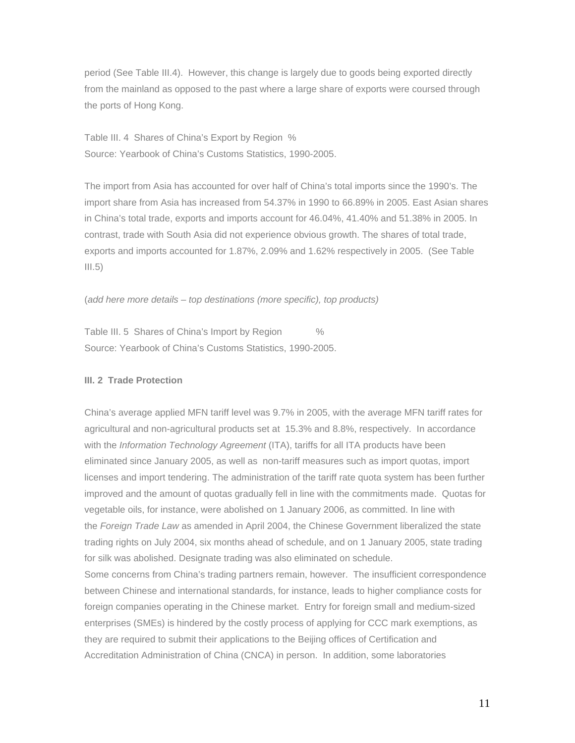period (See Table III.4). However, this change is largely due to goods being exported directly from the mainland as opposed to the past where a large share of exports were coursed through the ports of Hong Kong.

Table III. 4 Shares of China's Export by Region % Source: Yearbook of China's Customs Statistics, 1990-2005.

The import from Asia has accounted for over half of China's total imports since the 1990's. The import share from Asia has increased from 54.37% in 1990 to 66.89% in 2005. East Asian shares in China's total trade, exports and imports account for 46.04%, 41.40% and 51.38% in 2005. In contrast, trade with South Asia did not experience obvious growth. The shares of total trade, exports and imports accounted for 1.87%, 2.09% and 1.62% respectively in 2005. (See Table  $III.5)$ 

#### (*add here more details – top destinations (more specific), top products)*

Table III. 5 Shares of China's Import by Region % Source: Yearbook of China's Customs Statistics, 1990-2005.

#### **III. 2 Trade Protection**

China's average applied MFN tariff level was 9.7% in 2005, with the average MFN tariff rates for agricultural and non-agricultural products set at 15.3% and 8.8%, respectively. In accordance with the *Information Technology Agreement* (ITA), tariffs for all ITA products have been eliminated since January 2005, as well as non-tariff measures such as import quotas, import licenses and import tendering. The administration of the tariff rate quota system has been further improved and the amount of quotas gradually fell in line with the commitments made. Quotas for vegetable oils, for instance, were abolished on 1 January 2006, as committed. In line with the *Foreign Trade Law* as amended in April 2004, the Chinese Government liberalized the state trading rights on July 2004, six months ahead of schedule, and on 1 January 2005, state trading for silk was abolished. Designate trading was also eliminated on schedule.

Some concerns from China's trading partners remain, however. The insufficient correspondence between Chinese and international standards, for instance, leads to higher compliance costs for foreign companies operating in the Chinese market. Entry for foreign small and medium-sized enterprises (SMEs) is hindered by the costly process of applying for CCC mark exemptions, as they are required to submit their applications to the Beijing offices of Certification and Accreditation Administration of China (CNCA) in person. In addition, some laboratories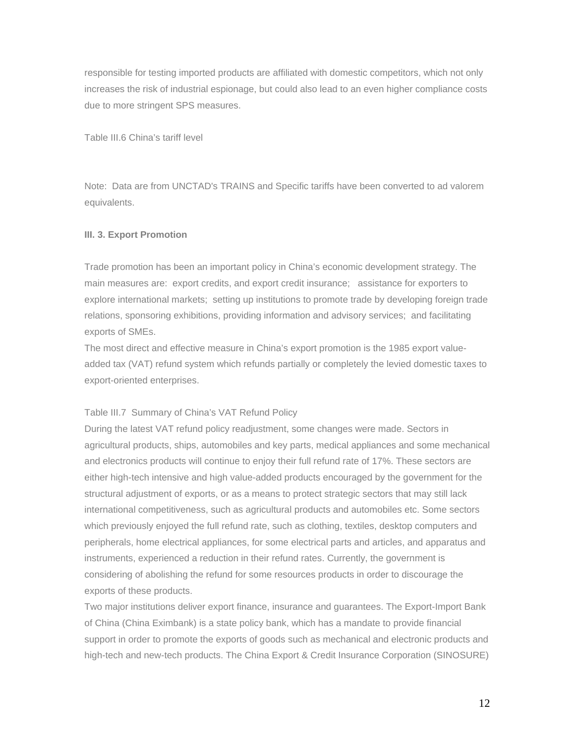responsible for testing imported products are affiliated with domestic competitors, which not only increases the risk of industrial espionage, but could also lead to an even higher compliance costs due to more stringent SPS measures.

Table III.6 China's tariff level

Note: Data are from UNCTAD's TRAINS and Specific tariffs have been converted to ad valorem equivalents.

### **III. 3. Export Promotion**

Trade promotion has been an important policy in China's economic development strategy. The main measures are: export credits, and export credit insurance; assistance for exporters to explore international markets; setting up institutions to promote trade by developing foreign trade relations, sponsoring exhibitions, providing information and advisory services; and facilitating exports of SMEs.

The most direct and effective measure in China's export promotion is the 1985 export valueadded tax (VAT) refund system which refunds partially or completely the levied domestic taxes to export-oriented enterprises.

#### Table III.7 Summary of China's VAT Refund Policy

During the latest VAT refund policy readjustment, some changes were made. Sectors in agricultural products, ships, automobiles and key parts, medical appliances and some mechanical and electronics products will continue to enjoy their full refund rate of 17%. These sectors are either high-tech intensive and high value-added products encouraged by the government for the structural adjustment of exports, or as a means to protect strategic sectors that may still lack international competitiveness, such as agricultural products and automobiles etc. Some sectors which previously enjoyed the full refund rate, such as clothing, textiles, desktop computers and peripherals, home electrical appliances, for some electrical parts and articles, and apparatus and instruments, experienced a reduction in their refund rates. Currently, the government is considering of abolishing the refund for some resources products in order to discourage the exports of these products.

Two major institutions deliver export finance, insurance and guarantees. The Export-Import Bank of China (China Eximbank) is a state policy bank, which has a mandate to provide financial support in order to promote the exports of goods such as mechanical and electronic products and high-tech and new-tech products. The China Export & Credit Insurance Corporation (SINOSURE)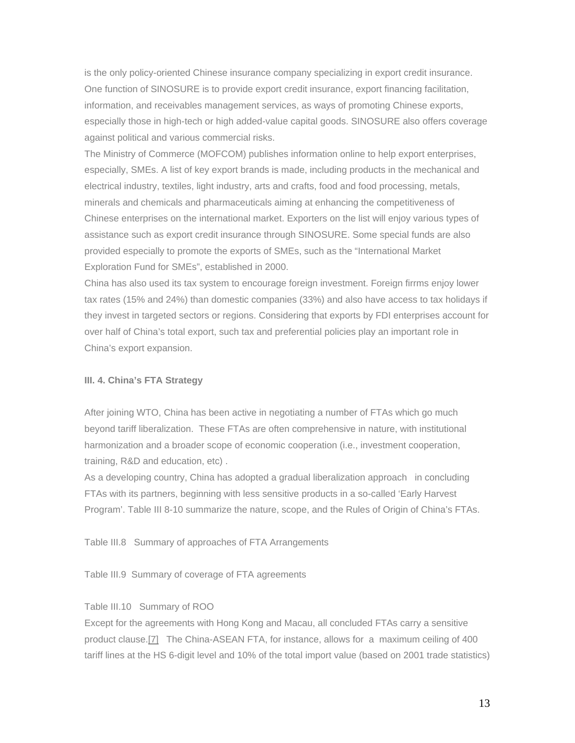is the only policy-oriented Chinese insurance company specializing in export credit insurance. One function of SINOSURE is to provide export credit insurance, export financing facilitation, information, and receivables management services, as ways of promoting Chinese exports, especially those in high-tech or high added-value capital goods. SINOSURE also offers coverage against political and various commercial risks.

The Ministry of Commerce (MOFCOM) publishes information online to help export enterprises, especially, SMEs. A list of key export brands is made, including products in the mechanical and electrical industry, textiles, light industry, arts and crafts, food and food processing, metals, minerals and chemicals and pharmaceuticals aiming at enhancing the competitiveness of Chinese enterprises on the international market. Exporters on the list will enjoy various types of assistance such as export credit insurance through SINOSURE. Some special funds are also provided especially to promote the exports of SMEs, such as the "International Market Exploration Fund for SMEs", established in 2000.

China has also used its tax system to encourage foreign investment. Foreign firrms enjoy lower tax rates (15% and 24%) than domestic companies (33%) and also have access to tax holidays if they invest in targeted sectors or regions. Considering that exports by FDI enterprises account for over half of China's total export, such tax and preferential policies play an important role in China's export expansion.

#### **III. 4. China's FTA Strategy**

After joining WTO, China has been active in negotiating a number of FTAs which go much beyond tariff liberalization. These FTAs are often comprehensive in nature, with institutional harmonization and a broader scope of economic cooperation (i.e., investment cooperation, training, R&D and education, etc) .

As a developing country, China has adopted a gradual liberalization approach in concluding FTAs with its partners, beginning with less sensitive products in a so-called 'Early Harvest Program'. Table III 8-10 summarize the nature, scope, and the Rules of Origin of China's FTAs.

Table III.8 Summary of approaches of FTA Arrangements

Table III.9 Summary of coverage of FTA agreements

## Table III.10 Summary of ROO

Except for the agreements with Hong Kong and Macau, all concluded FTAs carry a sensitive product clause.[\[7\]](http://iaps.cass.cn/english/Articles/showcontent.asp?id=1126#_ftn7#_ftn7) The China-ASEAN FTA, for instance, allows for a maximum ceiling of 400 tariff lines at the HS 6-digit level and 10% of the total import value (based on 2001 trade statistics)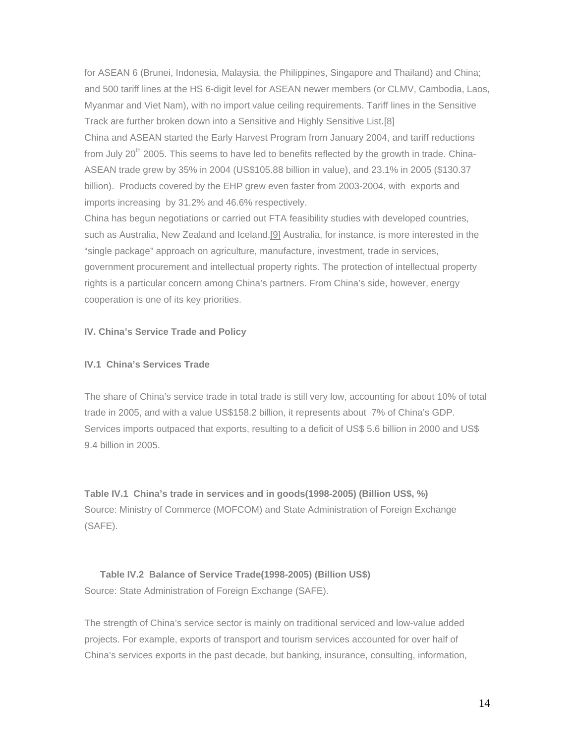for ASEAN 6 (Brunei, Indonesia, Malaysia, the Philippines, Singapore and Thailand) and China; and 500 tariff lines at the HS 6-digit level for ASEAN newer members (or CLMV, Cambodia, Laos, Myanmar and Viet Nam), with no import value ceiling requirements. Tariff lines in the Sensitive Track are further broken down into a Sensitive and Highly Sensitive List[.\[8\]](http://iaps.cass.cn/english/Articles/showcontent.asp?id=1126#_ftn8#_ftn8)

China and ASEAN started the Early Harvest Program from January 2004, and tariff reductions from July 20<sup>th</sup> 2005. This seems to have led to benefits reflected by the growth in trade. China-ASEAN trade grew by 35% in 2004 (US\$105.88 billion in value), and 23.1% in 2005 (\$130.37 billion). Products covered by the EHP grew even faster from 2003-2004, with exports and imports increasing by 31.2% and 46.6% respectively.

China has begun negotiations or carried out FTA feasibility studies with developed countries, such as Australia, New Zealand and Iceland.[\[9\]](http://iaps.cass.cn/english/Articles/showcontent.asp?id=1126#_ftn9#_ftn9) Australia, for instance, is more interested in the "single package" approach on agriculture, manufacture, investment, trade in services, government procurement and intellectual property rights. The protection of intellectual property rights is a particular concern among China's partners. From China's side, however, energy cooperation is one of its key priorities.

#### **IV. China's Service Trade and Policy**

### **IV.1 China's Services Trade**

The share of China's service trade in total trade is still very low, accounting for about 10% of total trade in 2005, and with a value US\$158.2 billion, it represents about 7% of China's GDP. Services imports outpaced that exports, resulting to a deficit of US\$ 5.6 billion in 2000 and US\$ 9.4 billion in 2005.

**Table IV.1 China's trade in services and in goods(1998-2005) (Billion US\$, %)** Source: Ministry of Commerce (MOFCOM) and State Administration of Foreign Exchange (SAFE).

# **Table IV.2 Balance of Service Trade(1998-2005) (Billion US\$)** Source: State Administration of Foreign Exchange (SAFE).

The strength of China's service sector is mainly on traditional serviced and low-value added projects. For example, exports of transport and tourism services accounted for over half of China's services exports in the past decade, but banking, insurance, consulting, information,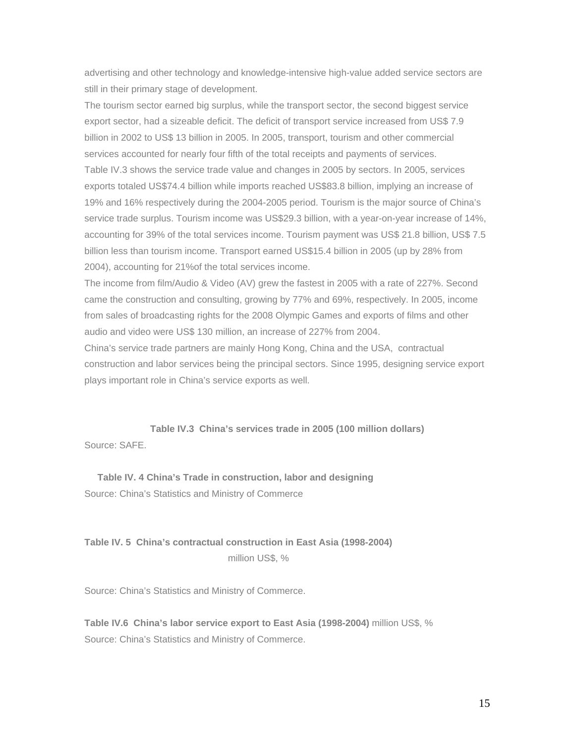advertising and other technology and knowledge-intensive high-value added service sectors are still in their primary stage of development.

The tourism sector earned big surplus, while the transport sector, the second biggest service export sector, had a sizeable deficit. The deficit of transport service increased from US\$ 7.9 billion in 2002 to US\$ 13 billion in 2005. In 2005, transport, tourism and other commercial services accounted for nearly four fifth of the total receipts and payments of services. Table IV.3 shows the service trade value and changes in 2005 by sectors. In 2005, services exports totaled US\$74.4 billion while imports reached US\$83.8 billion, implying an increase of 19% and 16% respectively during the 2004-2005 period. Tourism is the major source of China's service trade surplus. Tourism income was US\$29.3 billion, with a year-on-year increase of 14%, accounting for 39% of the total services income. Tourism payment was US\$ 21.8 billion, US\$ 7.5 billion less than tourism income. Transport earned US\$15.4 billion in 2005 (up by 28% from 2004), accounting for 21%of the total services income.

The income from film/Audio & Video (AV) grew the fastest in 2005 with a rate of 227%. Second came the construction and consulting, growing by 77% and 69%, respectively. In 2005, income from sales of broadcasting rights for the 2008 Olympic Games and exports of films and other audio and video were US\$ 130 million, an increase of 227% from 2004.

China's service trade partners are mainly Hong Kong, China and the USA, contractual construction and labor services being the principal sectors. Since 1995, designing service export plays important role in China's service exports as well.

**Table IV.3 China's services trade in 2005 (100 million dollars)** Source: SAFE.

 **Table IV. 4 China's Trade in construction, labor and designing** Source: China's Statistics and Ministry of Commerce

**Table IV. 5 China's contractual construction in East Asia (1998-2004)** million US\$, %

Source: China's Statistics and Ministry of Commerce.

**Table IV.6 China's labor service export to East Asia (1998-2004)** million US\$, % Source: China's Statistics and Ministry of Commerce.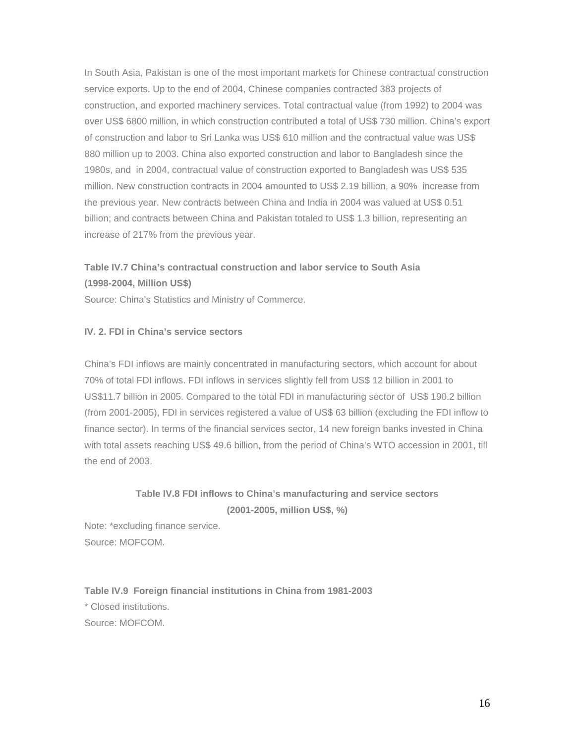In South Asia, Pakistan is one of the most important markets for Chinese contractual construction service exports. Up to the end of 2004, Chinese companies contracted 383 projects of construction, and exported machinery services. Total contractual value (from 1992) to 2004 was over US\$ 6800 million, in which construction contributed a total of US\$ 730 million. China's export of construction and labor to Sri Lanka was US\$ 610 million and the contractual value was US\$ 880 million up to 2003. China also exported construction and labor to Bangladesh since the 1980s, and in 2004, contractual value of construction exported to Bangladesh was US\$ 535 million. New construction contracts in 2004 amounted to US\$ 2.19 billion, a 90% increase from the previous year. New contracts between China and India in 2004 was valued at US\$ 0.51 billion; and contracts between China and Pakistan totaled to US\$ 1.3 billion, representing an increase of 217% from the previous year.

# **Table IV.7 China's contractual construction and labor service to South Asia (1998-2004, Million US\$)**

Source: China's Statistics and Ministry of Commerce.

# **IV. 2. FDI in China's service sectors**

China's FDI inflows are mainly concentrated in manufacturing sectors, which account for about 70% of total FDI inflows. FDI inflows in services slightly fell from US\$ 12 billion in 2001 to US\$11.7 billion in 2005. Compared to the total FDI in manufacturing sector of US\$ 190.2 billion (from 2001-2005), FDI in services registered a value of US\$ 63 billion (excluding the FDI inflow to finance sector). In terms of the financial services sector, 14 new foreign banks invested in China with total assets reaching US\$ 49.6 billion, from the period of China's WTO accession in 2001, till the end of 2003.

# **Table IV.8 FDI inflows to China's manufacturing and service sectors (2001-2005, million US\$, %)**

Note: \*excluding finance service. Source: MOFCOM.

**Table IV.9 Foreign financial institutions in China from 1981-2003** \* Closed institutions. Source: MOFCOM.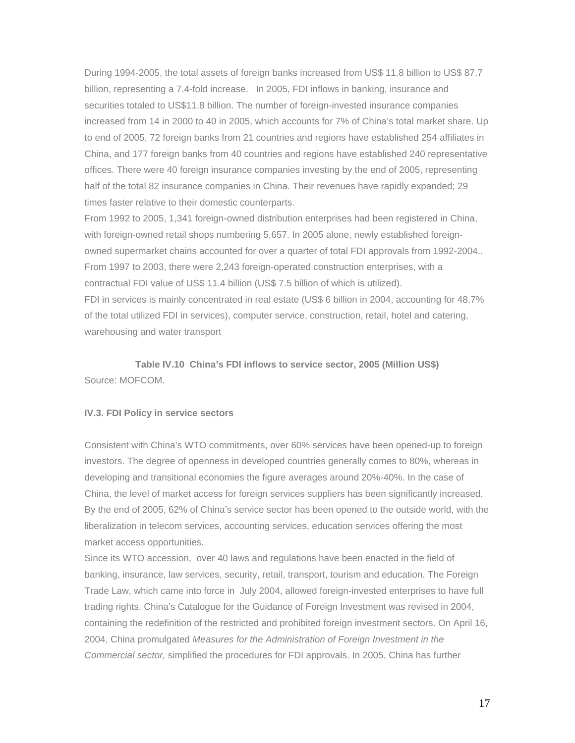During 1994-2005, the total assets of foreign banks increased from US\$ 11.8 billion to US\$ 87.7 billion, representing a 7.4-fold increase. In 2005, FDI inflows in banking, insurance and securities totaled to US\$11.8 billion. The number of foreign-invested insurance companies increased from 14 in 2000 to 40 in 2005, which accounts for 7% of China's total market share. Up to end of 2005, 72 foreign banks from 21 countries and regions have established 254 affiliates in China, and 177 foreign banks from 40 countries and regions have established 240 representative offices. There were 40 foreign insurance companies investing by the end of 2005, representing half of the total 82 insurance companies in China. Their revenues have rapidly expanded; 29 times faster relative to their domestic counterparts.

From 1992 to 2005, 1,341 foreign-owned distribution enterprises had been registered in China, with foreign-owned retail shops numbering 5,657. In 2005 alone, newly established foreignowned supermarket chains accounted for over a quarter of total FDI approvals from 1992-2004.. From 1997 to 2003, there were 2,243 foreign-operated construction enterprises, with a contractual FDI value of US\$ 11.4 billion (US\$ 7.5 billion of which is utilized). FDI in services is mainly concentrated in real estate (US\$ 6 billion in 2004, accounting for 48.7% of the total utilized FDI in services), computer service, construction, retail, hotel and catering, warehousing and water transport

**Table IV.10 China's FDI inflows to service sector, 2005 (Million US\$)** Source: MOFCOM.

#### **IV.3. FDI Policy in service sectors**

Consistent with China's WTO commitments, over 60% services have been opened-up to foreign investors. The degree of openness in developed countries generally comes to 80%, whereas in developing and transitional economies the figure averages around 20%-40%. In the case of China, the level of market access for foreign services suppliers has been significantly increased. By the end of 2005, 62% of China's service sector has been opened to the outside world, with the liberalization in telecom services, accounting services, education services offering the most market access opportunities.

Since its WTO accession, over 40 laws and regulations have been enacted in the field of banking, insurance, law services, security, retail, transport, tourism and education. The Foreign Trade Law, which came into force in July 2004, allowed foreign-invested enterprises to have full trading rights. China's Catalogue for the Guidance of Foreign Investment was revised in 2004, containing the redefinition of the restricted and prohibited foreign investment sectors. On April 16, 2004, China promulgated *Measures for the Administration of Foreign Investment in the Commercial sector,* simplified the procedures for FDI approvals. In 2005, China has further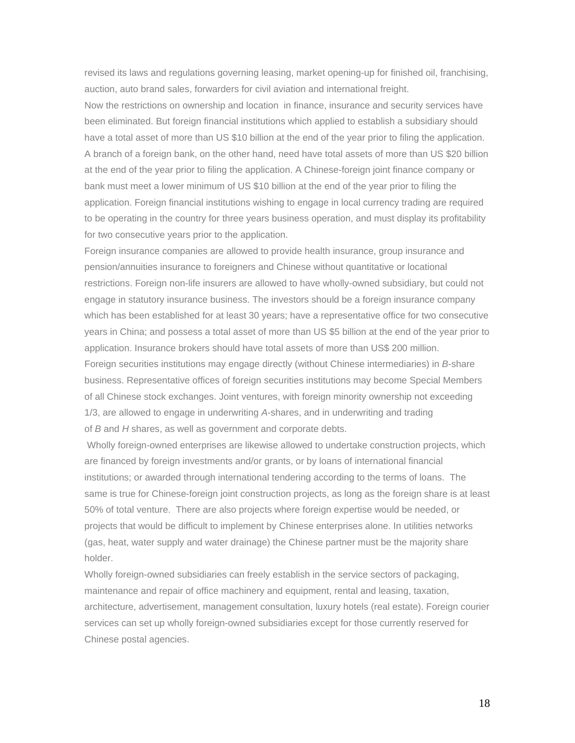revised its laws and regulations governing leasing, market opening-up for finished oil, franchising, auction, auto brand sales, forwarders for civil aviation and international freight.

Now the restrictions on ownership and location in finance, insurance and security services have been eliminated. But foreign financial institutions which applied to establish a subsidiary should have a total asset of more than US \$10 billion at the end of the year prior to filing the application. A branch of a foreign bank, on the other hand, need have total assets of more than US \$20 billion at the end of the year prior to filing the application. A Chinese-foreign joint finance company or bank must meet a lower minimum of US \$10 billion at the end of the year prior to filing the application. Foreign financial institutions wishing to engage in local currency trading are required to be operating in the country for three years business operation, and must display its profitability for two consecutive years prior to the application.

Foreign insurance companies are allowed to provide health insurance, group insurance and pension/annuities insurance to foreigners and Chinese without quantitative or locational restrictions. Foreign non-life insurers are allowed to have wholly-owned subsidiary, but could not engage in statutory insurance business. The investors should be a foreign insurance company which has been established for at least 30 years; have a representative office for two consecutive years in China; and possess a total asset of more than US \$5 billion at the end of the year prior to application. Insurance brokers should have total assets of more than US\$ 200 million. Foreign securities institutions may engage directly (without Chinese intermediaries) in *B*-share business. Representative offices of foreign securities institutions may become Special Members of all Chinese stock exchanges. Joint ventures, with foreign minority ownership not exceeding 1/3, are allowed to engage in underwriting *A*-shares, and in underwriting and trading of *B* and *H* shares, as well as government and corporate debts.

 Wholly foreign-owned enterprises are likewise allowed to undertake construction projects, which are financed by foreign investments and/or grants, or by loans of international financial institutions; or awarded through international tendering according to the terms of loans. The same is true for Chinese-foreign joint construction projects, as long as the foreign share is at least 50% of total venture. There are also projects where foreign expertise would be needed, or projects that would be difficult to implement by Chinese enterprises alone. In utilities networks (gas, heat, water supply and water drainage) the Chinese partner must be the majority share holder.

Wholly foreign-owned subsidiaries can freely establish in the service sectors of packaging, maintenance and repair of office machinery and equipment, rental and leasing, taxation, architecture, advertisement, management consultation, luxury hotels (real estate). Foreign courier services can set up wholly foreign-owned subsidiaries except for those currently reserved for Chinese postal agencies.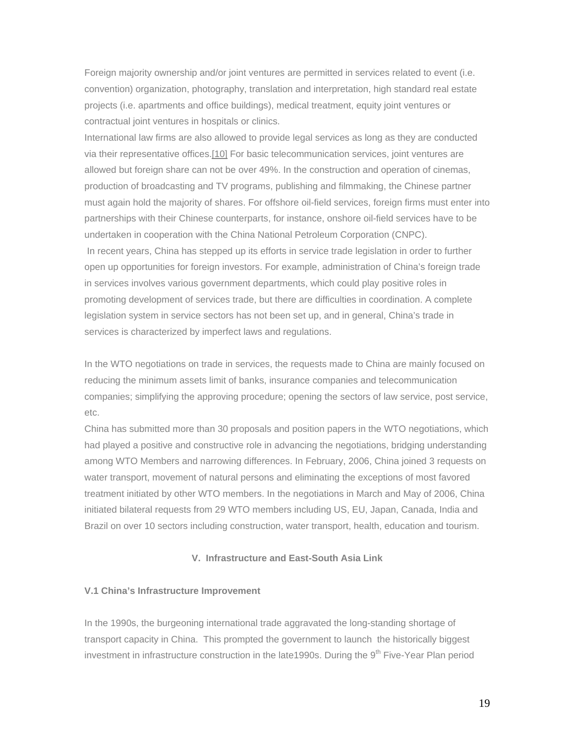Foreign majority ownership and/or joint ventures are permitted in services related to event (i.e. convention) organization, photography, translation and interpretation, high standard real estate projects (i.e. apartments and office buildings), medical treatment, equity joint ventures or contractual joint ventures in hospitals or clinics.

International law firms are also allowed to provide legal services as long as they are conducted via their representative offices.[\[10\]](http://iaps.cass.cn/english/Articles/showcontent.asp?id=1126#_ftn10#_ftn10) For basic telecommunication services, joint ventures are allowed but foreign share can not be over 49%. In the construction and operation of cinemas, production of broadcasting and TV programs, publishing and filmmaking, the Chinese partner must again hold the majority of shares. For offshore oil-field services, foreign firms must enter into partnerships with their Chinese counterparts, for instance, onshore oil-field services have to be undertaken in cooperation with the China National Petroleum Corporation (CNPC). In recent years, China has stepped up its efforts in service trade legislation in order to further open up opportunities for foreign investors. For example, administration of China's foreign trade in services involves various government departments, which could play positive roles in promoting development of services trade, but there are difficulties in coordination. A complete legislation system in service sectors has not been set up, and in general, China's trade in services is characterized by imperfect laws and regulations.

In the WTO negotiations on trade in services, the requests made to China are mainly focused on reducing the minimum assets limit of banks, insurance companies and telecommunication companies; simplifying the approving procedure; opening the sectors of law service, post service, etc.

China has submitted more than 30 proposals and position papers in the WTO negotiations, which had played a positive and constructive role in advancing the negotiations, bridging understanding among WTO Members and narrowing differences. In February, 2006, China joined 3 requests on water transport, movement of natural persons and eliminating the exceptions of most favored treatment initiated by other WTO members. In the negotiations in March and May of 2006, China initiated bilateral requests from 29 WTO members including US, EU, Japan, Canada, India and Brazil on over 10 sectors including construction, water transport, health, education and tourism.

### **V. Infrastructure and East-South Asia Link**

#### **V.1 China's Infrastructure Improvement**

In the 1990s, the burgeoning international trade aggravated the long-standing shortage of transport capacity in China. This prompted the government to launch the historically biggest investment in infrastructure construction in the late 1990s. During the  $9<sup>th</sup>$  Five-Year Plan period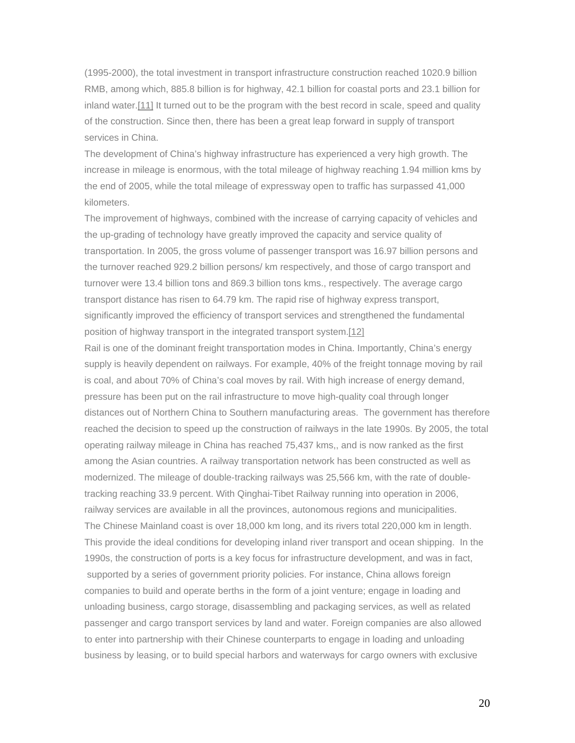(1995-2000), the total investment in transport infrastructure construction reached 1020.9 billion RMB, among which, 885.8 billion is for highway, 42.1 billion for coastal ports and 23.1 billion for inland water.[\[11\]](http://iaps.cass.cn/english/Articles/showcontent.asp?id=1126#_ftn11#_ftn11) It turned out to be the program with the best record in scale, speed and quality of the construction. Since then, there has been a great leap forward in supply of transport services in China.

The development of China's highway infrastructure has experienced a very high growth. The increase in mileage is enormous, with the total mileage of highway reaching 1.94 million kms by the end of 2005, while the total mileage of expressway open to traffic has surpassed 41,000 kilometers.

The improvement of highways, combined with the increase of carrying capacity of vehicles and the up-grading of technology have greatly improved the capacity and service quality of transportation. In 2005, the gross volume of passenger transport was 16.97 billion persons and the turnover reached 929.2 billion persons/ km respectively, and those of cargo transport and turnover were 13.4 billion tons and 869.3 billion tons kms., respectively. The average cargo transport distance has risen to 64.79 km. The rapid rise of highway express transport, significantly improved the efficiency of transport services and strengthened the fundamental position of highway transport in the integrated transport system[.\[12\]](http://iaps.cass.cn/english/Articles/showcontent.asp?id=1126#_ftn12#_ftn12)

Rail is one of the dominant freight transportation modes in China. Importantly, China's energy supply is heavily dependent on railways. For example, 40% of the freight tonnage moving by rail is coal, and about 70% of China's coal moves by rail. With high increase of energy demand, pressure has been put on the rail infrastructure to move high-quality coal through longer distances out of Northern China to Southern manufacturing areas. The government has therefore reached the decision to speed up the construction of railways in the late 1990s. By 2005, the total operating railway mileage in China has reached 75,437 kms,, and is now ranked as the first among the Asian countries. A railway transportation network has been constructed as well as modernized. The mileage of double-tracking railways was 25,566 km, with the rate of doubletracking reaching 33.9 percent. With Qinghai-Tibet Railway running into operation in 2006, railway services are available in all the provinces, autonomous regions and municipalities. The Chinese Mainland coast is over 18,000 km long, and its rivers total 220,000 km in length. This provide the ideal conditions for developing inland river transport and ocean shipping. In the 1990s, the construction of ports is a key focus for infrastructure development, and was in fact, supported by a series of government priority policies. For instance, China allows foreign companies to build and operate berths in the form of a joint venture; engage in loading and unloading business, cargo storage, disassembling and packaging services, as well as related passenger and cargo transport services by land and water. Foreign companies are also allowed to enter into partnership with their Chinese counterparts to engage in loading and unloading business by leasing, or to build special harbors and waterways for cargo owners with exclusive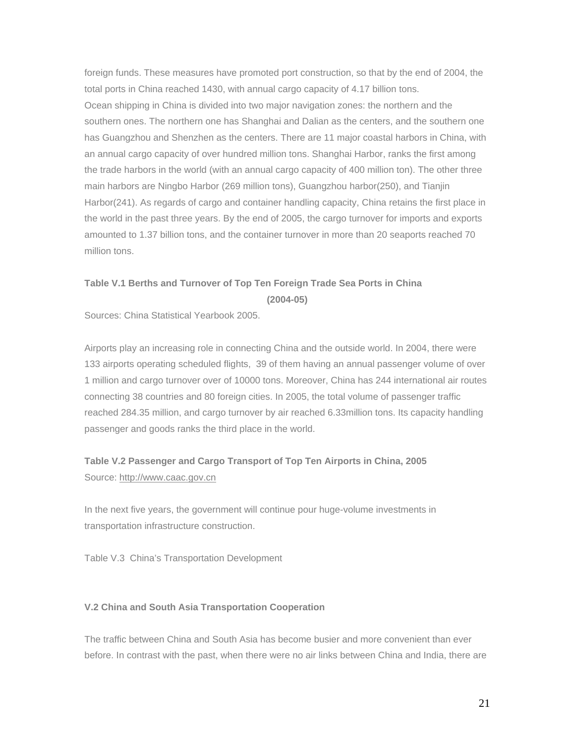foreign funds. These measures have promoted port construction, so that by the end of 2004, the total ports in China reached 1430, with annual cargo capacity of 4.17 billion tons. Ocean shipping in China is divided into two major navigation zones: the northern and the southern ones. The northern one has Shanghai and Dalian as the centers, and the southern one has Guangzhou and Shenzhen as the centers. There are 11 major coastal harbors in China, with an annual cargo capacity of over hundred million tons. Shanghai Harbor, ranks the first among the trade harbors in the world (with an annual cargo capacity of 400 million ton). The other three main harbors are Ningbo Harbor (269 million tons), Guangzhou harbor(250), and Tianjin Harbor(241). As regards of cargo and container handling capacity, China retains the first place in the world in the past three years. By the end of 2005, the cargo turnover for imports and exports amounted to 1.37 billion tons, and the container turnover in more than 20 seaports reached 70 million tons.

# **Table V.1 Berths and Turnover of Top Ten Foreign Trade Sea Ports in China (2004-05)**

Sources: China Statistical Yearbook 2005.

Airports play an increasing role in connecting China and the outside world. In 2004, there were 133 airports operating scheduled flights, 39 of them having an annual passenger volume of over 1 million and cargo turnover over of 10000 tons. Moreover, China has 244 international air routes connecting 38 countries and 80 foreign cities. In 2005, the total volume of passenger traffic reached 284.35 million, and cargo turnover by air reached 6.33million tons. Its capacity handling passenger and goods ranks the third place in the world.

# **Table V.2 Passenger and Cargo Transport of Top Ten Airports in China, 2005** Source: [http://www.caac.gov.cn](http://www.caac.gov.cn/)

In the next five years, the government will continue pour huge-volume investments in transportation infrastructure construction.

Table V.3 China's Transportation Development

## **V.2 China and South Asia Transportation Cooperation**

The traffic between China and South Asia has become busier and more convenient than ever before. In contrast with the past, when there were no air links between China and India, there are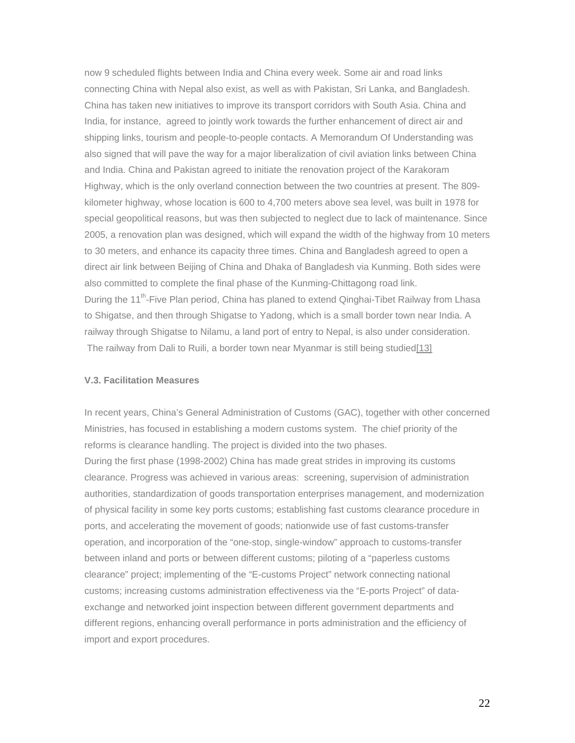now 9 scheduled flights between India and China every week. Some air and road links connecting China with Nepal also exist, as well as with Pakistan, Sri Lanka, and Bangladesh. China has taken new initiatives to improve its transport corridors with South Asia. China and India, for instance, agreed to jointly work towards the further enhancement of direct air and shipping links, tourism and people-to-people contacts. A Memorandum Of Understanding was also signed that will pave the way for a major liberalization of civil aviation links between China and India. China and Pakistan agreed to initiate the renovation project of the Karakoram Highway, which is the only overland connection between the two countries at present. The 809 kilometer highway, whose location is 600 to 4,700 meters above sea level, was built in 1978 for special geopolitical reasons, but was then subjected to neglect due to lack of maintenance. Since 2005, a renovation plan was designed, which will expand the width of the highway from 10 meters to 30 meters, and enhance its capacity three times. China and Bangladesh agreed to open a direct air link between Beijing of China and Dhaka of Bangladesh via Kunming. Both sides were also committed to complete the final phase of the Kunming-Chittagong road link. During the 11<sup>th</sup>-Five Plan period, China has planed to extend Qinghai-Tibet Railway from Lhasa to Shigatse, and then through Shigatse to Yadong, which is a small border town near India. A railway through Shigatse to Nilamu, a land port of entry to Nepal, is also under consideration. The railway from Dali to Ruili, a border town near Myanmar is still being studie[d\[13\]](http://iaps.cass.cn/english/Articles/showcontent.asp?id=1126#_ftn13#_ftn13).

#### **V.3. Facilitation Measures**

In recent years, China's General Administration of Customs (GAC), together with other concerned Ministries, has focused in establishing a modern customs system. The chief priority of the reforms is clearance handling. The project is divided into the two phases. During the first phase (1998-2002) China has made great strides in improving its customs clearance. Progress was achieved in various areas: screening, supervision of administration authorities, standardization of goods transportation enterprises management, and modernization of physical facility in some key ports customs; establishing fast customs clearance procedure in ports, and accelerating the movement of goods; nationwide use of fast customs-transfer operation, and incorporation of the "one-stop, single-window" approach to customs-transfer between inland and ports or between different customs; piloting of a "paperless customs clearance" project; implementing of the "E-customs Project" network connecting national customs; increasing customs administration effectiveness via the "E-ports Project" of dataexchange and networked joint inspection between different government departments and different regions, enhancing overall performance in ports administration and the efficiency of import and export procedures.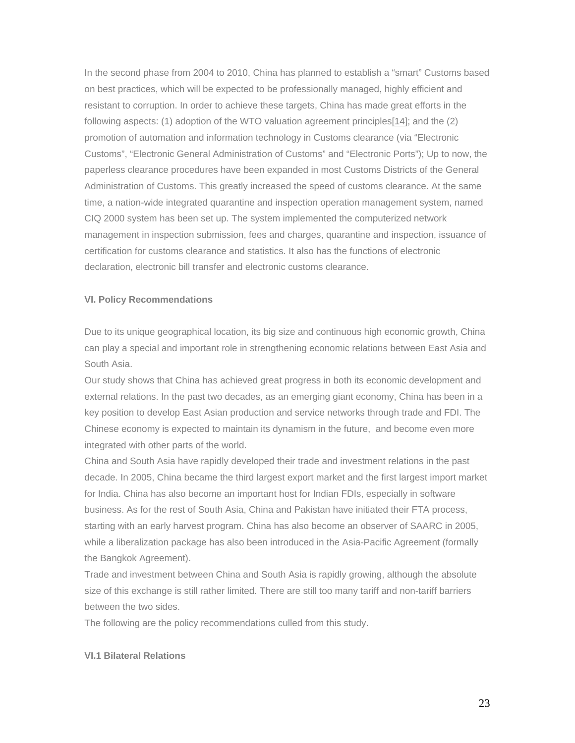In the second phase from 2004 to 2010, China has planned to establish a "smart" Customs based on best practices, which will be expected to be professionally managed, highly efficient and resistant to corruption. In order to achieve these targets, China has made great efforts in the following aspects: (1) adoption of the WTO valuation agreement principle[s\[14\]](http://iaps.cass.cn/english/Articles/showcontent.asp?id=1126#_ftn14#_ftn14); and the (2) promotion of automation and information technology in Customs clearance (via "Electronic Customs", "Electronic General Administration of Customs" and "Electronic Ports"); Up to now, the paperless clearance procedures have been expanded in most Customs Districts of the General Administration of Customs. This greatly increased the speed of customs clearance. At the same time, a nation-wide integrated quarantine and inspection operation management system, named CIQ 2000 system has been set up. The system implemented the computerized network management in inspection submission, fees and charges, quarantine and inspection, issuance of certification for customs clearance and statistics. It also has the functions of electronic declaration, electronic bill transfer and electronic customs clearance.

#### **VI. Policy Recommendations**

Due to its unique geographical location, its big size and continuous high economic growth, China can play a special and important role in strengthening economic relations between East Asia and South Asia.

Our study shows that China has achieved great progress in both its economic development and external relations. In the past two decades, as an emerging giant economy, China has been in a key position to develop East Asian production and service networks through trade and FDI. The Chinese economy is expected to maintain its dynamism in the future, and become even more integrated with other parts of the world.

China and South Asia have rapidly developed their trade and investment relations in the past decade. In 2005, China became the third largest export market and the first largest import market for India. China has also become an important host for Indian FDIs, especially in software business. As for the rest of South Asia, China and Pakistan have initiated their FTA process, starting with an early harvest program. China has also become an observer of SAARC in 2005, while a liberalization package has also been introduced in the Asia-Pacific Agreement (formally the Bangkok Agreement).

Trade and investment between China and South Asia is rapidly growing, although the absolute size of this exchange is still rather limited. There are still too many tariff and non-tariff barriers between the two sides.

The following are the policy recommendations culled from this study.

### **VI.1 Bilateral Relations**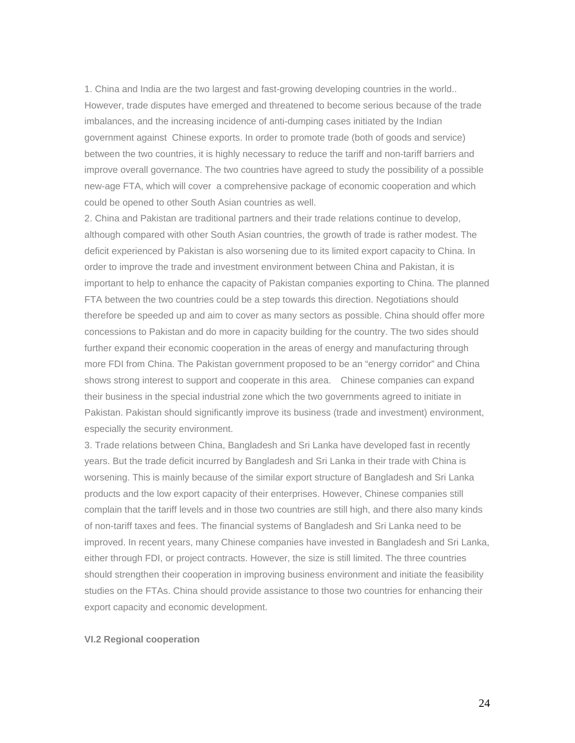1. China and India are the two largest and fast-growing developing countries in the world.. However, trade disputes have emerged and threatened to become serious because of the trade imbalances, and the increasing incidence of anti-dumping cases initiated by the Indian government against Chinese exports. In order to promote trade (both of goods and service) between the two countries, it is highly necessary to reduce the tariff and non-tariff barriers and improve overall governance. The two countries have agreed to study the possibility of a possible new-age FTA, which will cover a comprehensive package of economic cooperation and which could be opened to other South Asian countries as well.

2. China and Pakistan are traditional partners and their trade relations continue to develop, although compared with other South Asian countries, the growth of trade is rather modest. The deficit experienced by Pakistan is also worsening due to its limited export capacity to China. In order to improve the trade and investment environment between China and Pakistan, it is important to help to enhance the capacity of Pakistan companies exporting to China. The planned FTA between the two countries could be a step towards this direction. Negotiations should therefore be speeded up and aim to cover as many sectors as possible. China should offer more concessions to Pakistan and do more in capacity building for the country. The two sides should further expand their economic cooperation in the areas of energy and manufacturing through more FDI from China. The Pakistan government proposed to be an "energy corridor" and China shows strong interest to support and cooperate in this area. Chinese companies can expand their business in the special industrial zone which the two governments agreed to initiate in Pakistan. Pakistan should significantly improve its business (trade and investment) environment, especially the security environment.

3. Trade relations between China, Bangladesh and Sri Lanka have developed fast in recently years. But the trade deficit incurred by Bangladesh and Sri Lanka in their trade with China is worsening. This is mainly because of the similar export structure of Bangladesh and Sri Lanka products and the low export capacity of their enterprises. However, Chinese companies still complain that the tariff levels and in those two countries are still high, and there also many kinds of non-tariff taxes and fees. The financial systems of Bangladesh and Sri Lanka need to be improved. In recent years, many Chinese companies have invested in Bangladesh and Sri Lanka, either through FDI, or project contracts. However, the size is still limited. The three countries should strengthen their cooperation in improving business environment and initiate the feasibility studies on the FTAs. China should provide assistance to those two countries for enhancing their export capacity and economic development.

#### **VI.2 Regional cooperation**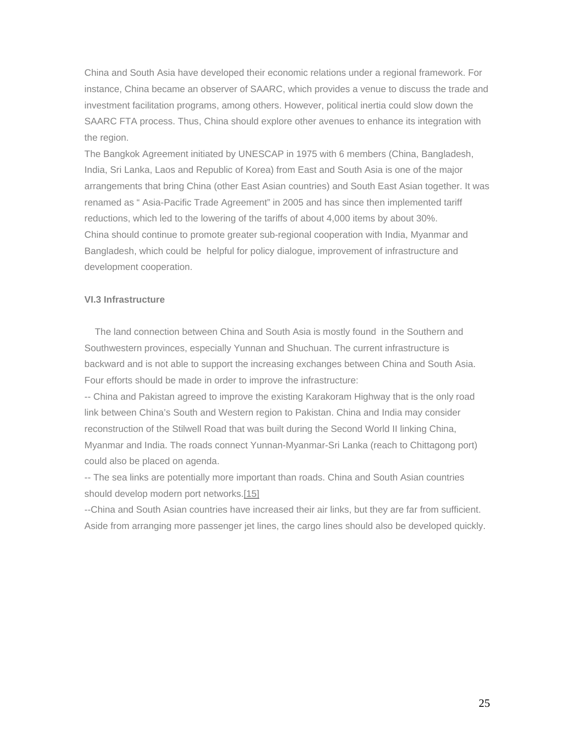China and South Asia have developed their economic relations under a regional framework. For instance, China became an observer of SAARC, which provides a venue to discuss the trade and investment facilitation programs, among others. However, political inertia could slow down the SAARC FTA process. Thus, China should explore other avenues to enhance its integration with the region.

The Bangkok Agreement initiated by UNESCAP in 1975 with 6 members (China, Bangladesh, India, Sri Lanka, Laos and Republic of Korea) from East and South Asia is one of the major arrangements that bring China (other East Asian countries) and South East Asian together. It was renamed as " Asia-Pacific Trade Agreement" in 2005 and has since then implemented tariff reductions, which led to the lowering of the tariffs of about 4,000 items by about 30%. China should continue to promote greater sub-regional cooperation with India, Myanmar and Bangladesh, which could be helpful for policy dialogue, improvement of infrastructure and development cooperation.

## **VI.3 Infrastructure**

 The land connection between China and South Asia is mostly found in the Southern and Southwestern provinces, especially Yunnan and Shuchuan. The current infrastructure is backward and is not able to support the increasing exchanges between China and South Asia. Four efforts should be made in order to improve the infrastructure:

-- China and Pakistan agreed to improve the existing Karakoram Highway that is the only road link between China's South and Western region to Pakistan. China and India may consider reconstruction of the Stilwell Road that was built during the Second World II linking China, Myanmar and India. The roads connect Yunnan-Myanmar-Sri Lanka (reach to Chittagong port) could also be placed on agenda.

-- The sea links are potentially more important than roads. China and South Asian countries should develop modern port networks.[\[15\]](http://iaps.cass.cn/english/Articles/showcontent.asp?id=1126#_ftn15#_ftn15)

--China and South Asian countries have increased their air links, but they are far from sufficient. Aside from arranging more passenger jet lines, the cargo lines should also be developed quickly.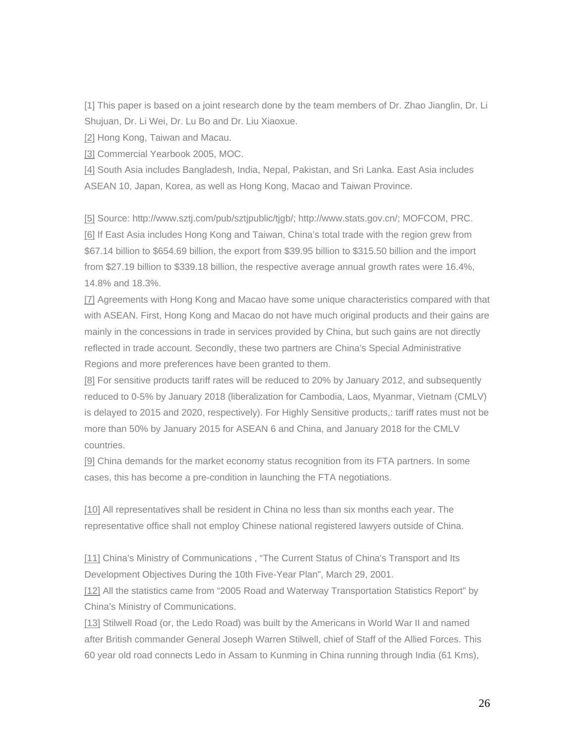[1] This paper is based on a joint research done by the team members of Dr. Zhao Jianglin, Dr. Li Shujuan, Dr. Li Wei, Dr. Lu Bo and Dr. Liu Xiaoxue.

[\[2\]](http://iaps.cass.cn/english/Articles/showcontent.asp?id=1126#_ftnref2#_ftnref2) Hong Kong, Taiwan and Macau.

[\[3\]](http://iaps.cass.cn/english/Articles/showcontent.asp?id=1126#_ftnref3#_ftnref3) Commercial Yearbook 2005, MOC.

[\[4\]](http://iaps.cass.cn/english/Articles/showcontent.asp?id=1126#_ftnref4#_ftnref4) South Asia includes Bangladesh, India, Nepal, Pakistan, and Sri Lanka. East Asia includes ASEAN 10, Japan, Korea, as well as Hong Kong, Macao and Taiwan Province.

[\[5\]](http://iaps.cass.cn/english/Articles/showcontent.asp?id=1126#_ftnref5#_ftnref5) Source: http://www.sztj.com/pub/sztjpublic/tjgb/; http://www.stats.gov.cn/; MOFCOM, PRC. [\[6\]](http://iaps.cass.cn/english/Articles/showcontent.asp?id=1126#_ftnref6#_ftnref6) If East Asia includes Hong Kong and Taiwan, China's total trade with the region grew from \$67.14 billion to \$654.69 billion, the export from \$39.95 billion to \$315.50 billion and the import from \$27.19 billion to \$339.18 billion, the respective average annual growth rates were 16.4%, 14.8% and 18.3%.

[\[7\]](http://iaps.cass.cn/english/Articles/showcontent.asp?id=1126#_ftnref7#_ftnref7) Agreements with Hong Kong and Macao have some unique characteristics compared with that with ASEAN. First, Hong Kong and Macao do not have much original products and their gains are mainly in the concessions in trade in services provided by China, but such gains are not directly reflected in trade account. Secondly, these two partners are China's Special Administrative Regions and more preferences have been granted to them.

[\[8\]](http://iaps.cass.cn/english/Articles/showcontent.asp?id=1126#_ftnref8#_ftnref8) For sensitive products tariff rates will be reduced to 20% by January 2012, and subsequently reduced to 0-5% by January 2018 (liberalization for Cambodia, Laos, Myanmar, Vietnam (CMLV) is delayed to 2015 and 2020, respectively). For Highly Sensitive products,: tariff rates must not be more than 50% by January 2015 for ASEAN 6 and China, and January 2018 for the CMLV countries.

[\[9\]](http://iaps.cass.cn/english/Articles/showcontent.asp?id=1126#_ftnref9#_ftnref9) China demands for the market economy status recognition from its FTA partners. In some cases, this has become a pre-condition in launching the FTA negotiations.

[\[10\]](http://iaps.cass.cn/english/Articles/showcontent.asp?id=1126#_ftnref10#_ftnref10) All representatives shall be resident in China no less than six months each year. The representative office shall not employ Chinese national registered lawyers outside of China.

[\[11\]](http://iaps.cass.cn/english/Articles/showcontent.asp?id=1126#_ftnref11#_ftnref11) China's Ministry of Communications , "The Current Status of China's Transport and Its Development Objectives During the 10th Five-Year Plan", March 29, 2001.

[\[12\]](http://iaps.cass.cn/english/Articles/showcontent.asp?id=1126#_ftnref12#_ftnref12) All the statistics came from "2005 Road and Waterway Transportation Statistics Report" by China's Ministry of Communications.

[\[13\]](http://iaps.cass.cn/english/Articles/showcontent.asp?id=1126#_ftnref13#_ftnref13) Stilwell Road (or, the Ledo Road) was built by the Americans in World War II and named after British commander General Joseph Warren Stilwell, chief of Staff of the Allied Forces. This 60 year old road connects Ledo in Assam to Kunming in China running through India (61 Kms),